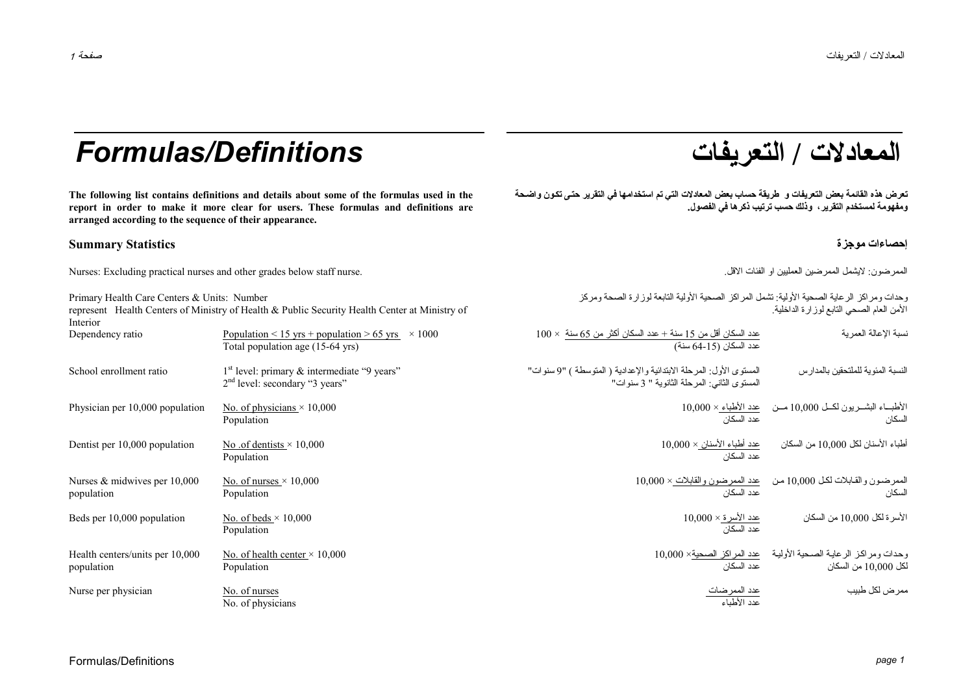## **/ التعريفات** *Definitions/Formulas*

**The following list contains definitions and details about some of the formulas used in the report in order to make it more clear for users. These formulas and definitions are arranged according to the sequence of their appearance.** 

#### **إحصاءات موجزة Statistics Summary**

Nurses: Excluding practical nurses and other grades below staff nurse. .الاقل الفئات او العمليين الممرضين لايشمل :الممرضون

| Primary Health Care Centers & Units: Number<br>represent Health Centers of Ministry of Health & Public Security Health Center at Ministry of<br>Interior |                                                                                             | وحدات ومراكز الرعاية الصحية الأولية: تشمل المراكز الصحية الأولية التابعة لوزارة الصحة ومركز<br>الأمن العام الصحى النابع لوز ارة الداخلية. |                                                                                        |  |
|----------------------------------------------------------------------------------------------------------------------------------------------------------|---------------------------------------------------------------------------------------------|-------------------------------------------------------------------------------------------------------------------------------------------|----------------------------------------------------------------------------------------|--|
| Dependency ratio                                                                                                                                         | Population < 15 yrs + population > 65 yrs $\times$ 1000<br>Total population age (15-64 yrs) | $100 \times$ عدد السكان أقل من 15 سنة + عدد السكان أكثر من 65 سنة $100 \times$<br>عدد السكان (15-64 سنة)                                  | نسبة الإعالة العمرية                                                                   |  |
| School enrollment ratio                                                                                                                                  | $1st$ level: primary & intermediate "9 years"<br>$2nd$ level: secondary "3 years"           | المستوى الأول: المرحلة الابتدائية والإعدادية ( المتوسطة ) "9 سنوات"<br>المستوى الثاني: المرحلة الثانوية " 3 سنوات"                        | النسبة المئوية للملتحقين بالمدارس                                                      |  |
| Physician per 10,000 population                                                                                                                          | No. of physicians $\times$ 10,000<br>Population                                             | عدد السكان                                                                                                                                | $10,000 \times 10^{14}$ الأطباء البشـــريون لكـــل 10,000 مـــن حدد الأطباء<br>السكان  |  |
| Dentist per 10,000 population                                                                                                                            | No .of dentists $\times$ 10,000<br>Population                                               | <u>عدد أطباء الأسنان × 10,000</u><br>عدد السكا <i>ن</i>                                                                                   | أطباء الأسنان لكل 10,000 من السكان                                                     |  |
| Nurses $&$ midwives per 10,000<br>population                                                                                                             | No. of nurses $\times$ 10,000<br>Population                                                 | عدد السكان                                                                                                                                | الممرضون والقابلات لكل 10,000 من صد الممرضون والقابلات × 10,000<br>السكان              |  |
| Beds per 10,000 population                                                                                                                               | No. of beds $\times$ 10,000<br>Population                                                   | <u>عدد الأسر ة × 10,000</u><br>عدد السكان                                                                                                 | الأسرة لكل 10,000 من السكان                                                            |  |
| Health centers/units per 10,000<br>population                                                                                                            | No. of health center $\times$ 10,000<br>Population                                          | عدد السكان                                                                                                                                | وحدات ومراكز الرعاية الصحية الأولية محد المراكز الصحية× 10,000<br>لكل 10,000 من السكان |  |
| Nurse per physician                                                                                                                                      | No. of nurses<br>No. of physicians                                                          | <u>عدد الممرضات</u><br>عدد الأطباء                                                                                                        | ممر ض لكل طبيب                                                                         |  |

# **المعادلات**

تعرض هذه القائمة بعض التعريفات و طريقة حساب بعض المعادلات التي تم استخدامها في التقرير حتى تكون واضحة **ومفهومة لمستخدم التقرير، وذلك حسب ترتيب ذآرها في الفصول.**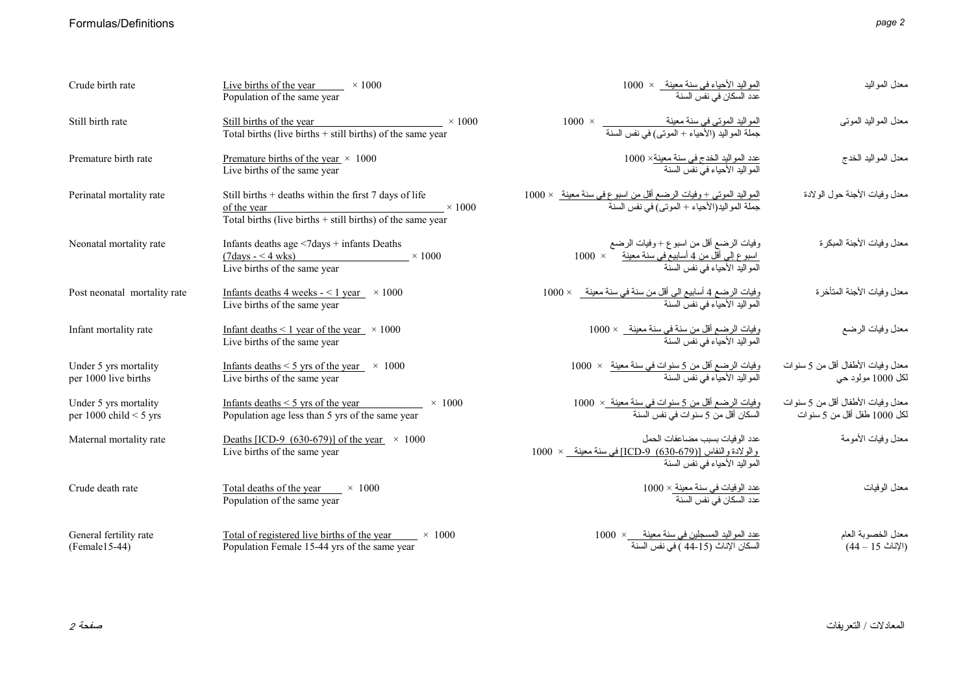#### Formulas/Definitions

|--|--|

| Crude birth rate                                  | Live births of the year $\times 1000$<br>Population of the same year                                                                                                     | المواليد الأحياء في سنة معينة_ × 1000<br>عدد السكان في نفس السنة                                                                     | معدل المواليد                                                    |
|---------------------------------------------------|--------------------------------------------------------------------------------------------------------------------------------------------------------------------------|--------------------------------------------------------------------------------------------------------------------------------------|------------------------------------------------------------------|
| Still birth rate                                  | Still births of the year<br>$\times$ 1000<br>Total births (live births $+$ still births) of the same year                                                                | المواليد الموتى فى سنة معينة<br>جملة المواليد (الأحياء + الموتى) فى نفس السنة                                                        | معدل المو اليد الموتي                                            |
| Premature birth rate                              | Premature births of the year $\times$ 1000<br>Live births of the same year                                                                                               | <u>عدد المواليد الخدج في سنة معينة× 1000</u><br>المو البد الأحباء في نفس السنة                                                       | معدل المواليد الخدج                                              |
| Perinatal mortality rate                          | Still births + deaths within the first 7 days of life<br>$\times 1000$<br>$\frac{\text{of the year}}{\text{Total births (live births + still births) of the same year}}$ | المواليد الموتى + وفيات الرضع أقل من اسبوع فى سنة معينة   × 1000<br>جملة المواليد(الأحياء + الموتى) فى نفس السنة                     | معدل وفيات الأجنة حول الولادة                                    |
| Neonatal mortality rate                           | Infants deaths age <7days + infants Deaths<br>$(7 \text{days} - 4 \text{wks})$ × 1000<br>Live births of the same year                                                    | وفيات الرضع أقل من اسبوع + وفيات الرضع<br><u>اسبوع إلى أقل من 4 أسابيح في سنة معينة</u><br>المواليد الأحياء في نفس السنة             | معدل و فيات الأجنة المبكر ة                                      |
| Post neonatal mortality rate                      | Infants deaths 4 weeks $-$ < 1 year $\times$ 1000<br>Live births of the same year                                                                                        | وفيات الرضـع 4 أسابيع الى أقل من سنـة في سنـة معينـة_ × 1000<br>المواليد الأحياء في نفس السنـة                                       | معدل وفيات الأجنة المتأخرة                                       |
| Infant mortality rate                             | Infant deaths $\leq 1$ year of the year $\times 1000$<br>Live births of the same year                                                                                    | وفيات الرضـع أقل من سنة في سنة معينة__ × 1000<br>المو اليد الأحياء في نفس السنة                                                      | معدل وفيات الرضع                                                 |
| Under 5 yrs mortality<br>per 1000 live births     | Infants deaths $\leq$ 5 yrs of the year $\times$ 1000<br>Live births of the same year                                                                                    | <u>وفيات الرضع أقل من 5 سنوات في سنة معينة</u> ×  1000<br>المو الند الأحداء في نفس السنة                                             | معدل وفيات الأطفال أقل من 5 سنو ات<br>لكل 1000 مولود حي          |
| Under 5 yrs mortality<br>per 1000 child $<$ 5 yrs | Infants deaths $\leq$ 5 yrs of the year $\times$ 1000<br>Population age less than 5 yrs of the same year                                                                 | وفيات الرضـع أقل من 5 سنو ات في سنة معينة_×  1000<br>السكان أقل من 5 سنو ات في نفس السنة                                             | معدل وفيات الأطفال أقل من 5 سنوات<br>لكل 1000 طفل أقل من 5 سنوات |
| Maternal mortality rate                           | Deaths [ICD-9 (630-679)] of the year $\times$ 1000<br>Live births of the same year                                                                                       | عدد الوفيات بسبب مضباعفات الحمل<br><u>والو لادة والنفاس [(679-630) ICD-9) في سنة معينة _</u> × 1000<br>المواليد الأحياء في نفس السنة | معدل وفيات الأمومة                                               |
| Crude death rate                                  | Total deaths of the year $\times$ 1000<br>Population of the same year                                                                                                    | عدد الوفيات في سنة معينة × 1000<br>عدد السكان في نفس السنة                                                                           | معدل الوفيات                                                     |
| General fertility rate<br>$(Female15-44)$         | Total of registered live births of the year $\times$ 1000<br>Population Female 15-44 yrs of the same year                                                                | عدد المواليد المسجلين في سنة معينة __ × 1000<br>السكان الإناث (15-44 ) في نفس السنة                                                  | معدل الخصوبة العام<br>(الإناث 15 – 44)                           |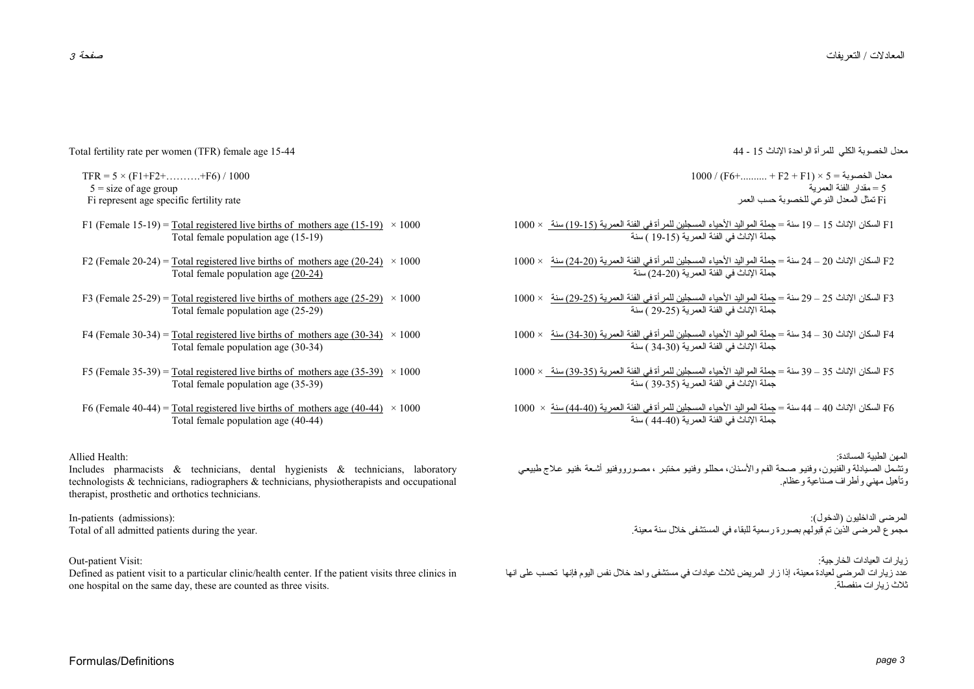معدل الخصوبة الكلي للمرأة الواحدة الإناث <sup>15</sup> - <sup>44</sup>

 $1000 / (F6+$ ........... + F2 + F1) × 5 = معدل الخصوبة 5 = مقدار الفئة العمرية Fi تمثل المعدل النوعي للخصوبة حسب العمر

- 1F السكان الإناث <sup>15</sup> <sup>19</sup> سنة <sup>=</sup>جملة المواليد الأحياء المسجلين للمرأة في الفئة العمرية (19-15) سنة × 1000 جملة الإناث في الفئة العمرية (19-15 ) سنة
- 2F السكان الإناث <sup>20</sup> <sup>24</sup> سنة <sup>=</sup>جملة المواليد الأحياء المسجلين للمرأة في الفئة العمرية (24-20) سنة × 1000 جملة الإناث في الفئة العمرية (24-20) سنة
- 3F السكان الإناث <sup>25</sup> <sup>29</sup> سنة <sup>=</sup>جملة المواليد الأحياء المسجلين للمرأة في الفئة العمرية (29-25) سنة × 1000 جملة الإناث في الفئة العمرية (29-25 ) سنة
- 4F السكان الإناث <sup>30</sup> <sup>34</sup> سنة <sup>=</sup>جملة المواليد الأحياء المسجلين للمرأة في الفئة العمرية (34-30) سنة × 1000 جملة الإناث في الفئة العمرية (34-30 ) سنة
- 5F السكان الإناث <sup>35</sup> <sup>39</sup> سنة <sup>=</sup>جملة المواليد الأحياء المسجلين للمرأة في الفئة العمرية (39-35) سنة × 1000 جملة الإناث في الفئة العمرية (39-35 ) سنة
- 6F السكان الإناث <sup>40</sup> <sup>44</sup> سنة <sup>=</sup>جملة المواليد الأحياء المسجلين للمرأة في الفئة العمرية (44-40) سنة × 1000 جملة الإناث في الفئة العمرية (44-40 ) سنة
- المهن الطبية المساندة: وتشمل الصىيادلة والفنيون، وفنيو صحة الفم والأسنان، محللو وفنيو مختبر ، مصورووفنيو أشعة ،فنيو علاج طبيعي وتأهيل مهني وأطراف صناعية وعظام.

المرضى الداخليون (الدخول): مجموع المرضى الذين تم قبولهم بصورة رسمية للبقاء في المستشفى خلال سنة معينة.

زيارات العيادات الخارجية: عدد زيارات المرضى لعيادة معينة، إذا زار المريض ثلاث عيادات في مستشفى واحد خلال نفس اليوم فإنها تحسب على انها .ثلاث زيارات منفصلة

Total fertility rate per women (TFR) female age 15-44

 $TFR = 5 \times (F1 + F2 + \dots + F6) / 1000$  $5 =$  size of age group Fi represent age specific fertility rate

- F1 (Female 15-19) = Total registered live births of mothers age (15-19)  $\times$  1000 Total female population age (15-19)
- F2 (Female 20-24) = Total registered live births of mothers age (20-24)  $\times$  1000 Total female population age (20-24)
- F3 (Female 25-29) = Total registered live births of mothers age (25-29)  $\times$  1000 Total female population age (25-29)
- F4 (Female 30-34) = Total registered live births of mothers age (30-34)  $\times$  1000 Total female population age (30-34)
- F5 (Female 35-39) = Total registered live births of mothers age (35-39)  $\times$  1000 Total female population age (35-39)
- F6 (Female 40-44) = Total registered live births of mothers age (40-44)  $\times$  1000 Total female population age (40-44)

Allied Health:

Includes pharmacists & technicians, dental hygienists & technicians, laboratory technologists & technicians, radiographers & technicians, physiotherapists and occupational therapist, prosthetic and orthotics technicians.

In-patients (admissions): Total of all admitted patients during the year.

Out-patient Visit:

Defined as patient visit to a particular clinic/health center. If the patient visits three clinics in one hospital on the same day, these are counted as three visits.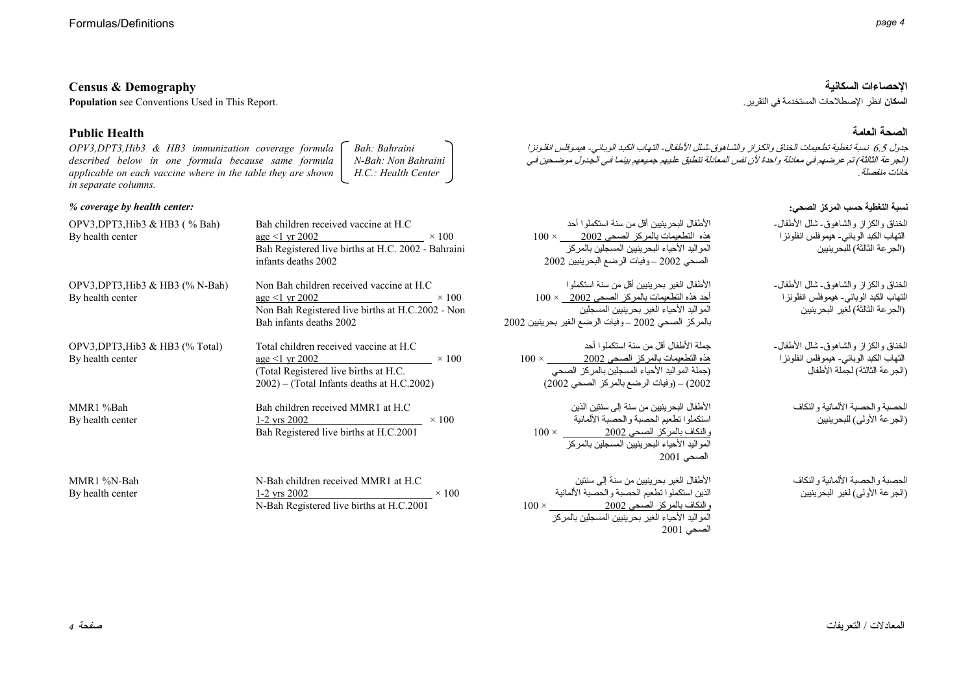| <b>Census &amp; Demography</b> | الاحصاءات السكانية |
|--------------------------------|--------------------|
|                                |                    |

**Population** see Conventions Used in This Report. . التقرير في المستخدمة الإصطلاحات انظر **السكان**

#### **Public Health**

*OPV3,DPT3,Hib3 & HB3 immunization coverage formula described below in one formula because same formula applicable on each vaccine where in the table they are shown in separate columns. Bah: Bahraini N-Bah: Non Bahraini H.C.: Health Center* 

#### *% coverage by health center:*

| OPV3, DPT3, Hib3 & HB3 $(%$ (% Bah)<br>By health center | Bah children received vaccine at H.C.<br>age $\leq$ 1 yr 2002 $\times$ 100<br>Bah Registered live births at H.C. 2002 - Bahraini<br>infants deaths 2002              | 100<br>2(            |
|---------------------------------------------------------|----------------------------------------------------------------------------------------------------------------------------------------------------------------------|----------------------|
| OPV3, DPT3, Hib3 & HB3 $(\%$ N-Bah)<br>By health center | Non Bah children received vaccine at H.C.<br>age $\leq$ 1 yr 2002 $\times$ 100<br>Non Bah Registered live births at H.C.2002 - Non<br>Bah infants deaths 2002        | 100<br>ىر ينيين 2002 |
| OPV3, DPT3, Hib3 & HB3 $(\%$ Total)<br>By health center | Total children received vaccine at H.C.<br>age $\leq$ 1 yr 2002 $\times$ 100<br>(Total Registered live births at H.C.)<br>2002) – (Total Infants deaths at H.C.2002) | $100 \times$<br>(2)  |
| MMR1 %Bah<br>By health center                           | Bah children received MMR1 at H.C.<br>$\times$ 100<br>$1-2$ yrs 2002<br>Bah Registered live births at H.C.2001                                                       | 100                  |
| MMR1 %N-Bah<br>By health center                         | N-Bah children received MMR1 at H.C.<br>$1-2$ yrs 2002 $\times 100$<br>N-Bah Registered live births at H.C.2001                                                      | $100 \times$         |

#### **الصحة العامة**

جدول 6.5 نسبة تغطية تطعيمات الخناق والكزاز والشاهوق شلل الأطفال- التهاب الكبد الوبيائي- هيموفلس انفلونزا ( الجرعة الثالثة) تم عرضهم في معادلة واحدة لأن نفس المعادلة تنطبق عليهم جميعهم بينما في الجدول موضحين في<br>(الجرعة الثالثة) تم عرضهم في معادلة واحدة لأن نفس المعادلة تنطبق عليهم جميعهم بينما في الجدول موضحين في .خانات منفصلة

#### **نسبة التغطية حسب المرآز الصحي:**

| $\frac{1}{2}$ × 100<br>02 - Bahraini                | الأطفال البحر ينبين أقل من سنة استكملو ا أحد<br>$100 \times 2002$ هذه التطعيمات بالمركز الصحى<br>المو اليد الأحياء البحر ينبين المسجلين بالمركز<br>الصحي 2002 – وفيات الرضع البحرينيين 2002           | الخناق والكز از والشاهوق-شلل الأطفال-<br>التهاب الكبد الوبائي- هيموفلس انفلونز ا<br>(الجر عة الثالثة) للبحرينيين       |
|-----------------------------------------------------|-------------------------------------------------------------------------------------------------------------------------------------------------------------------------------------------------------|------------------------------------------------------------------------------------------------------------------------|
| t H.C<br>$\frac{1}{2} \times 100$<br>$C.2002 - Non$ | الأطفال الغير بحر ينبين أقل من سنة استكملو ا<br>$100 \times 2002$ حد هذه التطعيمات بالمركز الصحى<br>المواليد الأحياء الغير بحرينيين المسجلين<br>بالمركز الصحي 2002 –وفيات الرضع الغير بحرينيين 2002   | الخناق والكز از والشاهوق-شلل الأطفال-<br>النهاب الكبد الوبائـي- هيموفلس انفلونز ا<br>(الجر عة الثالثة) لغير البحرينيين |
| $\mathbf C$<br>$\frac{1}{2}$ × 100<br>2002)         | جملة الأطفال أقل من سنة استكملو ا أحد<br>$100 \times 2002$ هذه التطعيمات بالمركز الصحى 2002<br>(جملة المواليد الأحياء المسجلين بالمركز الصحي<br>2002) – (وفيات الرضع بالمركز الصحي 2002)              | الخناق والكز از والشاهوق-شلل الأطفال-<br>النهاب الكبد الوبائي- هيموفلس انفلونز ا<br>(الجرعة الثالثة) لجملة الأطفال     |
| $\frac{1}{01}$ × 100                                | الأطفال البحر ينيين من سنة إلى سنتين الذين<br>استكملوا نطعيم الحصبة والحصبة الألمانية<br>$100 \times 2002$ والنكاف بالمركز الصحى 2002<br>المو اليد الأحياء البحر ينيين المسجلين بالمركز<br>الصحى 2001 | الحصبة والحصبة الألمانية والنكاف<br>(الجرعة الأولى) للبحرينيين                                                         |
| LC.<br>$\frac{1}{2} \times 100$<br>2001             | الأطفال الغير بحرينيين من سنة إلى سنتين<br>الذين استكملوا تطعيم الحصبة والحصبة الألمانية<br>$100 \times 2002$ والنكاف بالمركز الصحي<br>المو اليد الأحياء الغير بحرينيين المسجلين بالمركز              | الحصبة والحصبة الألمانية والنكاف<br>(الجرعة الأولى) لغير البحرينيين                                                    |

الصحي <sup>2001</sup>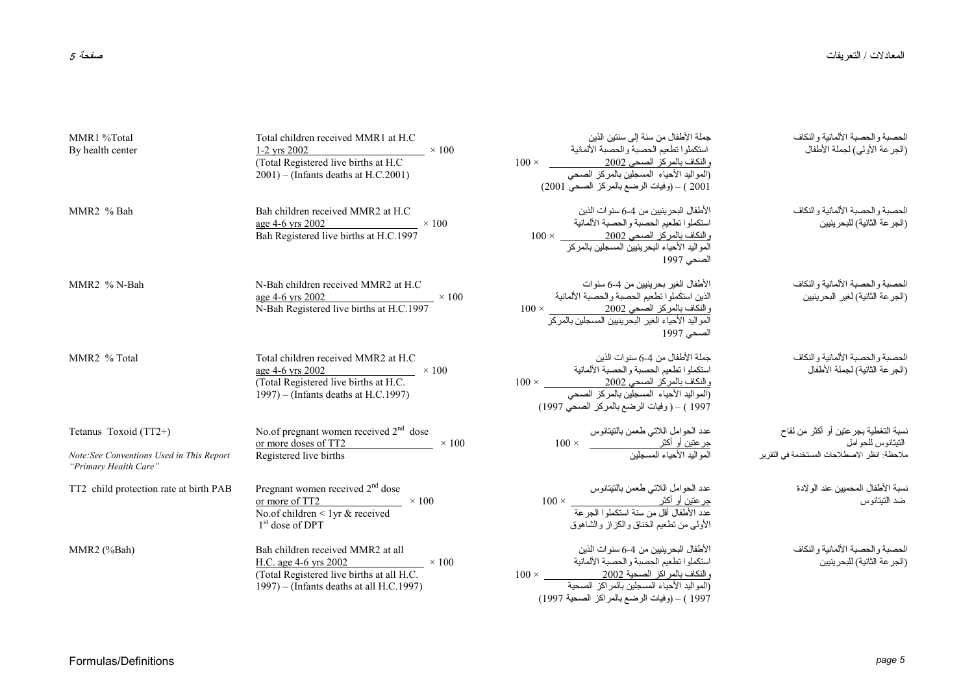| MMR1 %Total<br>By health center                                                             | Total children received MMR1 at H.C<br>$1-2$ yrs $2002$<br>$\sim 100$<br>(Total Registered live births at H.C.<br>$2001$ ) – (Infants deaths at H.C.2001)        | جملة الأطفال من سنة إلى سنتين الذين<br>استكملوا نطعيم الحصبة والحصبة الألمانية<br>والنكاف بالمركز الصحي 2002<br>(المواليد الأحياء المسجلين بالمركز الصحي<br>2001 ) – (وفيات الرضع بالمركز الصحى 2001) | الحصبة والحصبة الألمانية والنكاف<br>(الجرعة الأولى) لجملة الأطفال                                          |
|---------------------------------------------------------------------------------------------|------------------------------------------------------------------------------------------------------------------------------------------------------------------|-------------------------------------------------------------------------------------------------------------------------------------------------------------------------------------------------------|------------------------------------------------------------------------------------------------------------|
| MMR <sub>2</sub> % Bah                                                                      | Bah children received MMR2 at H.C<br>age 4-6 yrs 2002<br>Bah Registered live births at H.C.1997 $\times$ 100                                                     | الأطفال البحرينيين من 4-6 سنو ات الذين<br>استكملوا نطعيم الحصبة والحصبة الألمانية<br>والنكاف بالمركز الصحي 2002<br>المواليد الأحياء البحرينيين المسجلين بالمركز<br>الصحي 1997                         | الحصبة والحصبة الألمانية والنكاف<br>(الجرعة الثانية) للبحرينيين                                            |
| MMR <sub>2</sub> % N-Bah                                                                    | N-Bah children received MMR2 at H.C.<br>$\frac{\text{age } 4-6 \text{ yrs } 2002}{100}$ × 100<br>N-Bah Registered live births at H.C.1997                        | الأطفال الغير بحرينيين من 4-6 سنوات<br>الذين استكملوا تطعيم الحصبة والحصبة الألمانية<br>والنكاف بالمركز الصحي 2002<br>المواليد الأحياء الغير البحرينيين المسجلين بالمركز<br>الصحي 1997                | الحصبة و الحصبة الألمانية و النكاف<br>(الجر عة الثانية) لغير البحر ينبين                                   |
| MMR2 % Total                                                                                | Total children received MMR2 at H.C<br>age 4-6 yrs 2002 $\times 100$<br>(Total Registered live births at H.C.<br>1997) – (Infants deaths at H.C.1997)            | جملة الأطفال من 4-6 سنوات الذين<br>استكملوا تطعيم الحصبة والحصبة الألمانية<br>والنكاف بالمركز الصحي 2002<br>(المواليد الأحياء المسجلين بالمركز الصحي<br>1997 ) – ( وفيات الرضع بالمركز الصحى 1997)    | الحصبة و الحصبة الألمانية و النكاف<br>(الجرعة الثانية) لجملة الأطفال                                       |
| Tetanus Toxoid (TT2+)<br>Note: See Conventions Used in This Report<br>"Primary Health Care" | No.of pregnant women received $2nd$ dose<br>or more doses of TT2<br>$\times$ 100<br>Registered live births                                                       |                                                                                                                                                                                                       | نسبة التغطية بجر عتين أو أكثر من لقاح<br>النيتانوس للحوامل<br>ملاحظة: انظر الإصطلاحات المستخدمة في التقرير |
| TT2 child protection rate at birth PAB                                                      | Pregnant women received $2nd$ dose<br>or more of TT2 $\times 100$<br>No.of children < 1yr $&$ received<br>$1st$ dose of DPT                                      | عدد الحوامل اللاتبي طعمن بالنتيتانوس<br><u>جرعتين أو</u> أكثر<br>عدد الأطفال أقل من سنة استكملوا الجرعة<br>الأولىي من نطعيم الخناق والكزاز والشاهوق                                                   | نسبة الأطفال المحمبين عند الو لادة<br>ضد التيتانوس                                                         |
| MMR2 (%Bah)                                                                                 | Bah children received MMR2 at all<br>H.C. age 4-6 yrs 2002 $\times 100$<br>(Total Registered live births at all H.C.<br>1997) – (Infants deaths at all H.C.1997) | الأطفال البحرينيين من 4-6 سنوات الذين<br>استكملوا نطعيم الحصبة والحصبة الألمانية<br>1997 ) – (وفيات الرضع بالمراكز الصحية 1997)                                                                       | الحصبة والحصبة الألمانية والنكاف<br>(الجر عة الثانية) للبحرينيين                                           |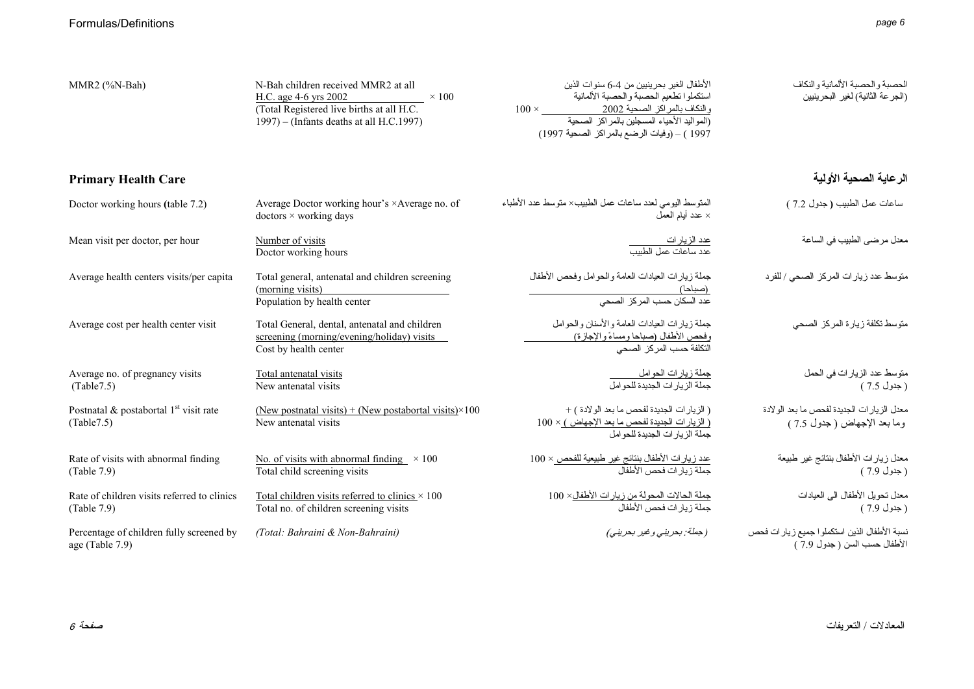| MMR2 (%N-Bah)                                                       | N-Bah children received MMR2 at all<br>H.C. age 4-6 yrs 2002<br>$\times 100$<br>(Total Registered live births at all H.C.<br>1997) – (Infants deaths at all H.C.1997) | الأطفال الغير بحر ينيين من 4-6 سنو ات الذين<br>استكملوا تطعيم الحصبة والحصبة الألمانية<br>$100 \times$ والنكاف بالمراكز الصحية 2002<br>(المواليد الأحياء المسجلين بالمراكز الصحية<br>1997 ) – (وفيات الرضع بالمراكز الصحية 1997) | الحصبة والحصبة الألمانية والنكاف<br>(الجرعة الثانية) لغير البحرينيين         |
|---------------------------------------------------------------------|-----------------------------------------------------------------------------------------------------------------------------------------------------------------------|----------------------------------------------------------------------------------------------------------------------------------------------------------------------------------------------------------------------------------|------------------------------------------------------------------------------|
| <b>Primary Health Care</b>                                          |                                                                                                                                                                       |                                                                                                                                                                                                                                  | الرعاية الصحية الأولية                                                       |
| Doctor working hours (table 7.2)                                    | Average Doctor working hour's ×Average no. of<br>$dotors \times working days$                                                                                         | المنوسط اليومي لعدد ساعات عمل الطبيب× منوسط عدد الأطباء<br>عدد أيام العمل $\times$                                                                                                                                               | ساعات عمل الطبيب (جدول 7.2 )                                                 |
| Mean visit per doctor, per hour                                     | Number of visits<br>Doctor working hours                                                                                                                              | <u>عدد الزيارات<br/>عدد ساعات عمل الطبيب</u>                                                                                                                                                                                     | معدل مرضى الطبيب في الساعة                                                   |
| Average health centers visits/per capita                            | Total general, antenatal and children screening<br>(morning visits)<br>Population by health center                                                                    | جملة زيارات العيادات العامة والحوامل وفحص الأطفال<br>(صباحا)<br>عدد السكان حسب المركز الصحي                                                                                                                                      | منوسط عدد زيارات المركز الصحى / للفرد                                        |
| Average cost per health center visit                                | Total General, dental, antenatal and children<br>screening (morning/evening/holiday) visits<br>Cost by health center                                                  | جملة زيارات العيادات العامة والأسنان والحوامل<br>وفحص الأطفال (صباحا ومساءً والإجازة)<br>التكلفة حسب المركز الصحي                                                                                                                | متوسط تكلفة زيارة المركز الصحى                                               |
| Average no. of pregnancy visits<br>(Table7.5)                       | Total antenatal visits<br>New antenatal visits                                                                                                                        | جملة زيارات الحوامل<br>جملة الزيار ات الجديدة للحو امل                                                                                                                                                                           | متوسط عدد الزيار ات في الحمل<br>(جدول 7.5 )                                  |
| Postnatal $\&$ postabortal 1 <sup>st</sup> visit rate<br>(Table7.5) | (New postnatal visits) + (New postabortal visits) $\times$ 100<br>New antenatal visits                                                                                | (الزيارات الجديدة لفحص ما بعد الولادة ) +<br><u>( الزيار ات الجديدة لفحص ما بعد الإجهاض ) × 1</u> 00<br>جملة الزيار ات الجديدة للحوامل                                                                                           | معدل الزيارات الجديدة لفحص ما بعد الولادة<br>وما بعد الإجهاض ( جدول 7.5 )    |
| Rate of visits with abnormal finding<br>(Table 7.9)                 | No. of visits with abnormal finding $\times 100$<br>Total child screening visits                                                                                      | <u>عدد زيارات الأطفال بنتائج غير طبيعية للفحص × 100</u><br>جملة ز يار ات فحص الأطفال                                                                                                                                             | معدل زيارات الأطفال بنتائج غير طبيعة<br>( جدول 7.9 )                         |
| Rate of children visits referred to clinics<br>(Table 7.9)          | Total children visits referred to clinics $\times$ 100<br>Total no. of children screening visits                                                                      | جملة الحالات المحولة من زيار ات الأطفال× 100<br>جملة زيار ات فحص الأطفال                                                                                                                                                         | معدل نحويل الأطفال الى العيادات<br>( جدول 7.9 )                              |
| Percentage of children fully screened by<br>age (Table 7.9)         | (Total: Bahraini & Non-Bahraini)                                                                                                                                      | (جملة: بحريني وغير بحريني)                                                                                                                                                                                                       | نسبة الأطفال الذين استكملوا جميع زيارات فحص<br>الأطفال حسب السن ( جدول 7.9 ) |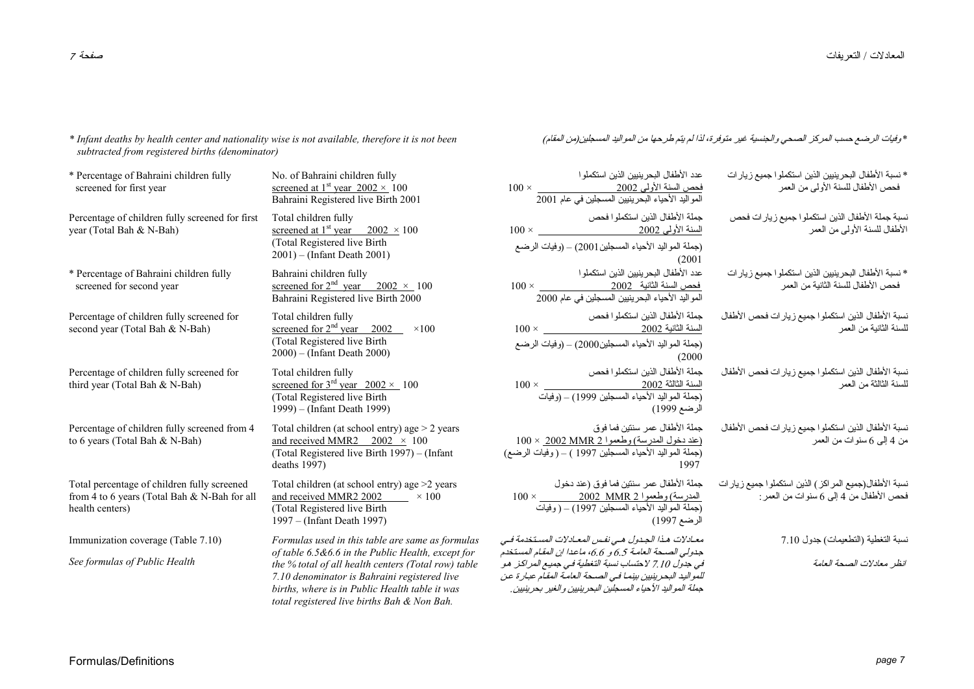*\* Infant deaths by health center and nationality wise is not available, therefore it is not been subtracted from registered births (denominator)* 

\* Percentage of Bahraini children fully screened for first year No. of Bahraini children fully screened at 1<sup>st</sup> year  $2002 \times 100$ Bahraini Registered live Birth 2001 Percentage of children fully screened for first year (Total Bah & N-Bah) Total children fully screened at 1<sup>st</sup> year  $2002 \times 100$ (Total Registered live Birth 2001) – (Infant Death 2001) (جملة المواليد الأحياء المسجلين2001) – (وفيات الرضع \* Percentage of Bahraini children fully screened for second year Bahraini children fully screened for  $2<sup>nd</sup>$  year 2002 × 100 Bahraini Registered live Birth 2000 Percentage of children fully screened for second year (Total Bah & N-Bah) Total children fully screened for  $2<sup>nd</sup>$  year 2002  $\times 100$ (Total Registered live Birth 2000) – (Infant Death 2000) (200 – (وفيات الرضع Percentage of children fully screened for third year (Total Bah & N-Bah) Total children fully screened for  $3<sup>rd</sup>$  year  $2002 \times 100$ (Total Registered live Birth 1999) – (Infant Death 1999) Percentage of children fully screened from 4 to 6 years (Total Bah & N-Bah) Total children (at school entry) age > 2 years and received MMR2  $2002 \times 100$ (Total Registered live Birth 1997) – (Infant deaths 1997)  $100 \times 2002$  MMR (جملة المواليد الأحياء المسجلين 1997 ) – ( وفيات الرضع) Total percentage of children fully screened from 4 to 6 years (Total Bah & N-Bah for all health centers) Total children (at school entry) age >2 years and received MMR2 2002  $\times 100$ (Total Registered live Birth 1997 – (Infant Death 1997) Immunization coverage (Table 7.10) *See formulas of Public Health Formulas used in this table are same as formulas of table 6.5&6.6 in the Public Health, except for the % total of all health centers (Total row) table 7.10 denominator is Bahraini registered live births, where is in Public Health table it was*  ، المعبادلات المستخدمة فيه ه، ماعدا إن المقام المستخدم<sup>"</sup> فطية في جميع المراكز هو لحة العامة المقام عبارة عن

*total registered live births Bah & Non Bah.*

\* وفيات الرضع حسب المرآز الصحي والجنسية غير متوفرة، لذا لم يتم طرحها من المواليد المسجلين(من المقام)

| * نسبة الأطفال البحرينيين الذين استكملوا جميع زيارات<br>فحص الأطفال للسنة الأولى من العمر         | عدد الأطفال البحرينيين الذين استكملو ا<br>فحص السنة الأولى 2002<br>المواليد الأحياء البحرينيين المسجلين في عام 2001<br>$100\times$                                                                                                            |
|---------------------------------------------------------------------------------------------------|-----------------------------------------------------------------------------------------------------------------------------------------------------------------------------------------------------------------------------------------------|
| نسبة جملة الأطفال الذين استكملوا جميع زيارات فحص<br>الأطفال للسنة الأولىي من العمر                | جملة الأطفال الذين استكملوا فحص<br>$100 \times 2002$ السنة الأولى 2002<br>(جملة المواليد الأحياء المسجلين2001) – (وفيات الرضىع<br>(2001                                                                                                       |
| * نسبة الأطفال البحرينيين الذين استكملوا جميع زيارات<br>فحص الأطفال للسنة الثانية من العمر        | عدد الأطفال البحرينيين الذين استكملوا<br><u>فحص</u> السنة الثانية    2002<br>المواليد الأحياء البحرينيين المسجلين في عام 2000<br>$100 \times$                                                                                                 |
| نسبة الأطفال الذين استكملوا جميع زيار ات فحص الأطفال<br>للسنة الثانية من العمر                    | جملة الأطفال الذبين استكملوا فحص<br>(جملة المواليد الأحياء المسجلين2000) – (وفيات الرضع                                                                                                                                                       |
| نسبة الأطفال الذين استكملوا جميع زيار ات فحص الأطفال<br>للسنة الثالثة من العمر                    | (2000)<br>جملة الأطفال الذين استكملوا فحص<br>السنة الثالثة 2002<br>(جملة المواليد الأحياء المسجلين 1999) – (وفيات<br>الرضع 1999)                                                                                                              |
| نسبة الأطفال الذين استكملوا جميع زيارات فحص الأطفال<br>من 4 إلىي 6 سنوات من العمر                 | جملة الأطفال عمر سننين فما فوق<br><u> (عند دخول المدرسة) وطعموا 2 MMR 2002 × 100</u><br>(جملة المواليد الأحياء المسجلين 1997 ) – ( وفيات الرضع<br>1997                                                                                        |
| نسبة الأطفال(جميع المراكز ) الذين استكملوا جميع زيارات<br>فحص الأطفال من 4 إلى 6 سنوات من العمر : | جملة الأطفال عمر سنتين فما فوق (عند دخول<br>(جملة المواليد الأحياء المسجلين 1997) – ( وفيات<br>الرضع 1997)                                                                                                                                    |
| نسبة النغطية (النطعيمات) جدول 7.10                                                                | معـادلات هـذا الـجـدول هـى نفـس المعـادلات المسـتخدمة فـ                                                                                                                                                                                      |
| انظر معادلات الصحة العامة                                                                         | جدولي الصحة العامة 6.5 و 6.6، ماعدا ان المقام المستخ<br>في جدول 7.10 لاحتساب نسبة التغطية في جميع المر اكـز. ه<br>للمواليد البحر ينبين بينما في الصحة العامة المقام عبار ة ع<br>جملة المواليد الأحياء المسجلين البحر ينبين والغير بحر ينبين . |